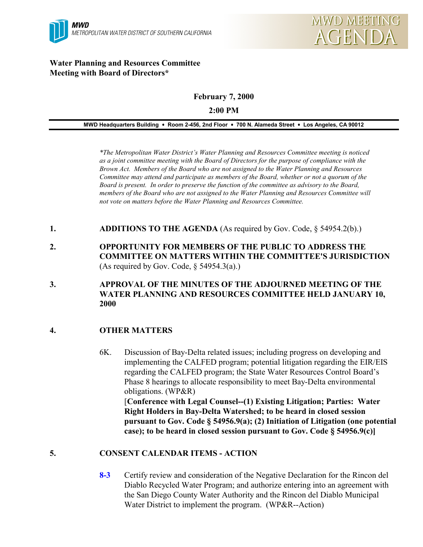

#### **Water Planning and Resources Committee Meeting with Board of Directors\***

# **February 7, 2000**

#### **2:00 PM**

#### **MWD Headquarters Building** ! **Room 2-456, 2nd Floor** ! **700 N. Alameda Street** ! **Los Angeles, CA 90012**

*\*The Metropolitan Water District's Water Planning and Resources Committee meeting is noticed as a joint committee meeting with the Board of Directors for the purpose of compliance with the Brown Act. Members of the Board who are not assigned to the Water Planning and Resources Committee may attend and participate as members of the Board, whether or not a quorum of the Board is present. In order to preserve the function of the committee as advisory to the Board, members of the Board who are not assigned to the Water Planning and Resources Committee will not vote on matters before the Water Planning and Resources Committee.*

- **1. ADDITIONS TO THE AGENDA** (As required by Gov. Code, § 54954.2(b).)
- **2. OPPORTUNITY FOR MEMBERS OF THE PUBLIC TO ADDRESS THE COMMITTEE ON MATTERS WITHIN THE COMMITTEE'S JURISDICTION** (As required by Gov. Code,  $\S$  54954.3(a).)
- **3. APPROVAL OF THE MINUTES OF THE ADJOURNED MEETING OF THE WATER PLANNING AND RESOURCES COMMITTEE HELD JANUARY 10, 2000**

## **4. OTHER MATTERS**

6K. Discussion of Bay-Delta related issues; including progress on developing and implementing the CALFED program; potential litigation regarding the EIR/EIS regarding the CALFED program; the State Water Resources Control Board's Phase 8 hearings to allocate responsibility to meet Bay-Delta environmental obligations. (WP&R) [**Conference with Legal Counsel--(1) Existing Litigation; Parties: Water Right Holders in Bay-Delta Watershed; to be heard in closed session pursuant to Gov. Code § 54956.9(a); (2) Initiation of Litigation (one potential case); to be heard in closed session pursuant to Gov. Code § 54956.9(c)]**

## **5. CONSENT CALENDAR ITEMS - ACTION**

**8-3** Certify review and consideration of the Negative Declaration for the Rincon del Diablo Recycled Water Program; and authorize entering into an agreement with the San Diego County Water Authority and the Rincon del Diablo Municipal Water District to implement the program. (WP&R--Action)